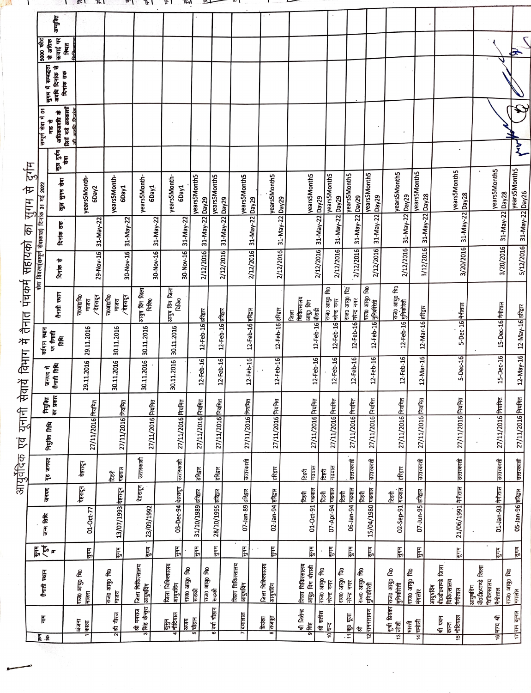|                                                                            | अमृसि                                             |                                           |                          |                                     |                                             |                                   |                              |                              |                            |                                        |                              |                                   |                                                                         |                                          |                                 |                                                        |                                                             |                                               |
|----------------------------------------------------------------------------|---------------------------------------------------|-------------------------------------------|--------------------------|-------------------------------------|---------------------------------------------|-----------------------------------|------------------------------|------------------------------|----------------------------|----------------------------------------|------------------------------|-----------------------------------|-------------------------------------------------------------------------|------------------------------------------|---------------------------------|--------------------------------------------------------|-------------------------------------------------------------|-----------------------------------------------|
| 5000 फीट                                                                   | ऊबाई पर<br>से अधिक<br><b>Ferry</b>                | 自治局                                       |                          |                                     |                                             |                                   |                              |                              |                            |                                        |                              |                                   |                                                                         |                                          |                                 |                                                        |                                                             | Ð                                             |
|                                                                            | सुगम में सम्बद्धता<br>अवधि दिनांक से<br>दिनांक तक |                                           |                          |                                     |                                             |                                   |                              |                              |                            |                                        |                              |                                   |                                                                         |                                          |                                 |                                                        |                                                             |                                               |
| सम्पूर्ण सेवा में 01                                                       | लियें गये अवकाशों<br>अधिकअवधि के<br>माह से        | ma a ri                                   |                          |                                     |                                             |                                   |                              |                              |                            |                                        |                              |                                   |                                                                         |                                          |                                 |                                                        |                                                             | $\sum$                                        |
|                                                                            | कुल दुर्गम<br>सेवा                                |                                           |                          |                                     |                                             |                                   |                              |                              |                            |                                        |                              |                                   |                                                                         |                                          |                                 |                                                        |                                                             |                                               |
|                                                                            | कुल सुगम सेवा                                     | years5Month-<br>6Day2                     | years5Month-<br>6Day1    | years5Month-<br>tveg9               | years5Month-<br><b>GDay1</b>                | yearsSMonth5<br>Day <sub>29</sub> | years5Month5<br><b>Day29</b> | years5Month5<br><b>Bzvad</b> | <b>yearsSMonth5</b>        | years5Month5                           | <b>years5Month5</b>          | yearsSMonth5<br>Day <sub>29</sub> | yearsSMonth5                                                            | <b>years5Month5</b><br>Day <sub>29</sub> | <b>VearsSMonth5</b>             | years5Month5                                           | years5Month5                                                | years5Month5                                  |
|                                                                            | दिनांक तक                                         |                                           | 31-May-22                | 31-May-22                           | 31-May-22<br>31-May-22                      | 31-May-22                         | 31-May-22                    | 31-May-22                    | 31-May-22 Day29            |                                        | 31-May-22 Day29              | 31-May-22                         | 31-May-22 Day29                                                         | 31-May-22 Day29<br>31-May-22             | 31-May-22 Day28                 |                                                        | 31-May-22 Day28                                             | 5/12/2016 31-May-22 Day26<br>31-May-22 Day28  |
| सहायको का सुगम से दुर्गम<br>सेवा विवरण(सम्पूर्ण सेवाकाल) दिनांक 31 मई 2022 | दिनांक से                                         |                                           | 29-Nov-16                | 30-Nov-16                           | 30-Nov-16<br>30-Nov-16                      | 2/12/2016                         | 2/12/2016                    | 2/12/2016                    | 2/12/2016                  |                                        | 2/12/2016                    | 2/12/2016                         | 2/12/2016                                                               | 2/12/2016<br>2/12/2016                   | 3/12/2016                       | 3/20/2016                                              |                                                             | 3/20/2016                                     |
|                                                                            | तैनाती स्थान                                      | राठआ०थि०<br>/ देहरादून<br>माजरा           | <b>тоэпо</b> Рар<br>गजरा | आयुष विंग जिला<br>/देहरादून<br>विकि | आयुष विंग जिला<br>विकिo                     |                                   |                              |                              |                            | चिकित्सालय<br>आयु० किंग<br>बौराडी<br>唇 | राज0 आयु0 चि0<br>नेन्द्र नगर | राज0 आयु0 चि0                     | राज0 आयु0 वि0<br><u>12-Feb-16 मु</u> निकीरेती                           | राज0 आयु0 चि0                            |                                 |                                                        |                                                             |                                               |
| वर्तमान स्थान                                                              | पर तैनाती<br>E                                    | 29.11.2016                                | 30.11.2016               | 30.11.2016                          | 30.11.2016                                  | 12-Feb-16 Rea                     | 12-Feb-16 Rea                | $12 - Feb - 16$ and $\pi$    | 12-Feb-16 करिद्वार         | 12-Feb-16                              | $12 - Feb - 16$              |                                   | $12 - Feb - 16$ $\frac{1}{2}$ $\frac{1}{2}$ $\frac{1}{2}$ $\frac{1}{2}$ | 12-Feb-16 <del>gRighta</del>             | 12-Mar-16 RRET                  | 5-Dec-16 <del>11</del> ताल                             |                                                             | 15-Dec-16 <sup>#</sup> That<br>12-May-16 sRER |
|                                                                            | जनपद में<br>रौनाती तिथि                           | 29.11.2016                                | 30.11.2016               | 30.11.2016                          | 30.11.2016                                  | $12 - Feb - 16$                   | 12-Feb-16                    | 12-Feb-16                    | 12-Feb-16                  | $12 - Feb - 16$                        | 12-Feb-16                    | $12 - Feb - 16$                   | 12-Feb-16                                                               | $12 - \text{Feb-16}$                     | 12-Mar-16                       | 5-Dec-16                                               |                                                             | $12-May-16$<br>15-Dec-16                      |
|                                                                            | निजुक्ति<br>का प्रकार                             |                                           |                          |                                     |                                             |                                   |                              |                              |                            |                                        |                              |                                   |                                                                         |                                          |                                 | Framer                                                 |                                                             |                                               |
|                                                                            | <b>Argiter Rhe</b>                                | 27/11/2016 Rana                           | 27/11/2016 नियमित        | 27/11/2016 Proma                    | 27/11/2016 Ruft                             | 27/11/2016 नियमित                 | 27/11/2016 नियमित            | 27/11/2016 नियमित            | 27/11/2016 नियमित          | 27/11/2016 नियमित                      | 27/11/2016 नियमित            | 27/11/2016 नियमित                 | 27/11/2016 <b>Autha</b>                                                 | 27/11/2016 PratPro                       | 27/11/2016 नियमित               | 27/11/2016                                             |                                                             | 27/11/2016 नियमित<br>27/11/2016 नियमित        |
|                                                                            | गृह जनपद                                          | देहरादून                                  | टिहरी<br>गढवाल           | उत्तरकाशी                           | उत्तरकाशी                                   | हरिद्वार                          | हरिद्वार                     | उत्तरकाशी                    | हरिद्वार                   | <b>Treate</b><br>टिहरी                 | गढवाल<br>टिहरी               | उत्तरकाशी                         | उत्तरकाशी                                                               | हरिद्वार                                 | उत्तरकाशी                       | उत्तरकाशी                                              | उत्तरकाशी                                                   | उत्तरकाशी                                     |
|                                                                            | जनपद                                              | देहरादून                                  |                          | देहरादून                            |                                             |                                   |                              |                              |                            |                                        | टिहरी                        | टिहरी                             |                                                                         |                                          |                                 |                                                        |                                                             |                                               |
|                                                                            | 医下层                                               | 01-Oct-77                                 | 13/07/1993 देहरादून      | 23/09/1992                          | 03-Dec-94 देहरादून                          | 31/10/1989 हरिद्वार               | 28/10/1995 <i>RRER</i>       | 07-Jan-89 <i>sftar</i>       | 02-Jan-94 हरिद्वार         | टिहरी<br>01-Oct-91 <mark>गढवाल</mark>  | 07-Apr-94 गढवाल              | 06-Jan-94 <mark>गढवाल</mark>      | हिस्सै<br>15/04/1980 <mark>गढवाल</mark>                                 | िटरी<br>02-Sep-91 <mark>गढवाल</mark>     | 07-Jun-95 हरिद्वार              | 21/06/1991 <del>11</del> 11117                         | 01-Jan-93   नैनीताल                                         | 05-Jan-96 <i>BRE</i>                          |
|                                                                            | <b>にんてき</b>                                       | Ę                                         | Ę                        | पुगम                                | F.                                          | पुगम                              | Ę                            | First                        | पुगम                       | पुगम                                   | ĘЙ                           | Ę                                 | Ę                                                                       | पुगम                                     | Firk                            | ĘЧ                                                     | मुगम्                                                       | Ę                                             |
| तैनाती स्थान                                                               |                                                   | राज0 आयु0 चि0<br><mark>माजरा</mark>       | राज0 आयु0 चि0<br>माजरा   | जिला चिकित्सालय<br>आयुषविग          | जिला चिकित्सालय<br>राज0 आयु0 चि0<br>आयुषविग | रूडकी                             | राज0 आयु0 चि0<br>रूडकी       | फिला चिकित्सालय<br> आयुषविंग | जिला चिकित्सालय<br>आयुषयिग | जिला चिकित्सालय<br>आयु0 विंग बौराडी    | राज0 आयु0 चि0<br>निन्द नगर   | राज0 आयु0 चि0<br>नरेन्द्र नगर     | राज0 आयु0 चि0<br> मुनिकीरेती                                            | राज0 आयु0 चि0<br> मुनिकीरेती             | æ<br>poline orana<br>मंगलोर     | आयुषविंग<br>बीoडीoपाण्डे जिला<br>चिकित्सालय<br>नैनीताल | जिला<br>आयुषविंग<br>बीठडी0पाण्डे f<br>चिकित्सालय<br>नैनीताल | राज0 आयु0 चि0<br>मंगलोर                       |
| Ĕ<br>के.<br>ब                                                              |                                                   | अंजना<br>काला<br>$\overline{\phantom{0}}$ | 原中国                      | श्री ममराज  <br>सिंह के चुरा        | कु <del>षुण</del><br>नौटियाल                | अज्ञ<br>5 चौहान                   | 6 वर्षा चौहान                | दयालाल                       | बिचका<br>बाजपूत            | श्री जितेन्द्र<br>9 सिंह               | श्री सतीश<br>चन्द<br>ë       | कु पूज<br>₹                       | १२ रामनारायण<br>銢                                                       | सुश्री प्रियंका  <br>13 जोशी             | मारती<br>मारती<br>$\frac{4}{5}$ | internet<br>श्री पवन<br>कान्त<br>$\frac{15}{2}$        | 绿<br>m <sub>16</sub>                                        | 17 शम कुमार                                   |